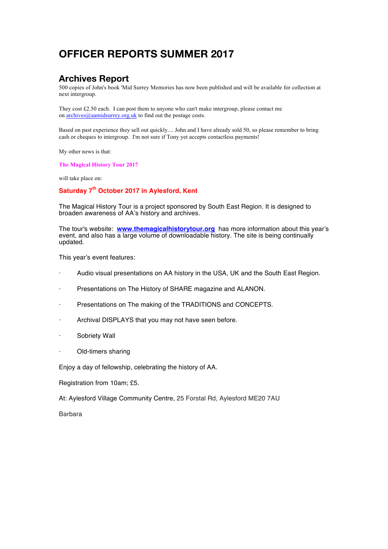# **OFFICER REPORTS SUMMER 2017**

#### **Archives Report**

500 copies of John's book 'Mid Surrey Memories has now been published and will be available for collection at next intergroup.

They cost £2.50 each. I can post them to anyone who can't make intergroup, please contact me on  $\archives@a$ amidsurrey.org.uk to find out the postage costs.

Based on past experience they sell out quickly.... John and I have already sold 50, so please remember to bring cash or cheques to intergroup. I'm not sure if Tony yet accepts contactless payments!

My other news is that:

**The Magical History Tour 2017**

will take place on:

#### **Saturday 7th October 2017 in Aylesford, Kent**

The Magical History Tour is a project sponsored by South East Region. It is designed to broaden awareness of AA's history and archives.

The tour's website: **[www.themagicalhistorytour.org](http://www.themagicalhistorytour.org/)** has more information about this year's event, and also has a large volume of downloadable history. The site is being continually updated.

This year's event features:

- Audio visual presentations on AA history in the USA, UK and the South East Region.
- Presentations on The History of SHARE magazine and ALANON.
- Presentations on The making of the TRADITIONS and CONCEPTS.
- Archival DISPLAYS that you may not have seen before.
- Sobriety Wall
- Old-timers sharing

Enjoy a day of fellowship, celebrating the history of AA.

Registration from 10am; £5.

At: Aylesford Village Community Centre, 25 Forstal Rd, Aylesford ME20 7AU

Barbara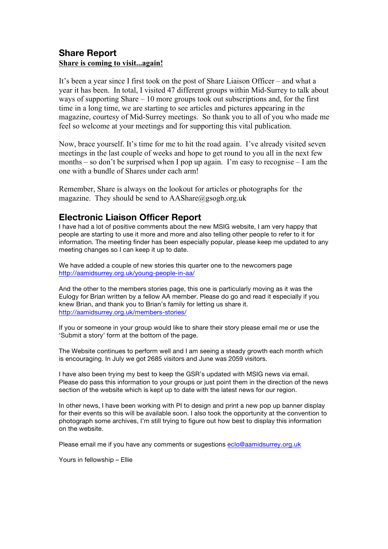#### **Share Report Share is coming to visit...again!**

It's been a year since I first took on the post of Share Liaison Officer – and what a year it has been. In total, I visited 47 different groups within Mid-Surrey to talk about ways of supporting Share  $-10$  more groups took out subscriptions and, for the first time in a long time, we are starting to see articles and pictures appearing in the magazine, courtesy of Mid-Surrey meetings. So thank you to all of you who made me feel so welcome at your meetings and for supporting this vital publication.

Now, brace yourself. It's time for me to hit the road again. I've already visited seven meetings in the last couple of weeks and hope to get round to you all in the next few months – so don't be surprised when I pop up again. I'm easy to recognise – I am the one with a bundle of Shares under each arm!

Remember, Share is always on the lookout for articles or photographs for the magazine. They should be send to AAShare@gsogb.org.uk

### **Electronic Liaison Officer Report**

I have had a lot of positive comments about the new MSIG website, I am very happy that people are starting to use it more and more and also telling other people to refer to it for information. The meeting finder has been especially popular, please keep me updated to any meeting changes so I can keep it up to date.

We have added a couple of new stories this quarter one to the newcomers page <http://aamidsurrey.org.uk/young-people-in-aa/>

And the other to the members stories page, this one is particularly moving as it was the Eulogy for Brian written by a fellow AA member. Please do go and read it especially if you knew Brian, and thank you to Brian's family for letting us share it. <http://aamidsurrey.org.uk/members-stories/>

If you or someone in your group would like to share their story please email me or use the 'Submit a story' form at the bottom of the page.

The Website continues to perform well and I am seeing a steady growth each month which is encouraging. In July we got 2685 visitors and June was 2059 visitors.

I have also been trying my best to keep the GSR's updated with MSIG news via email. Please do pass this information to your groups or just point them in the direction of the news section of the website which is kept up to date with the latest news for our region.

In other news, I have been working with PI to design and print a new pop up banner display for their events so this will be available soon. I also took the opportunity at the convention to photograph some archives, I'm still trying to figure out how best to display this information on the website.

Please email me if you have any comments or sugestions [eclo@aamidsurrey.org.uk](mailto:eclo@aamidsurrey.org.uk)

Yours in fellowship – Ellie